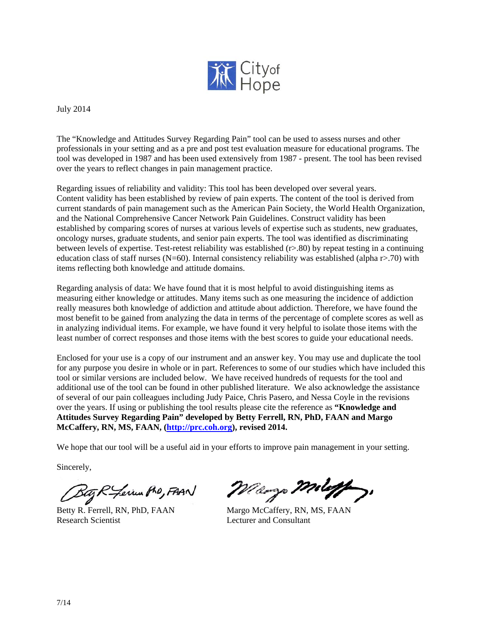

July 2014

The "Knowledge and Attitudes Survey Regarding Pain" tool can be used to assess nurses and other professionals in your setting and as a pre and post test evaluation measure for educational programs. The tool was developed in 1987 and has been used extensively from 1987 - present. The tool has been revised over the years to reflect changes in pain management practice.

Regarding issues of reliability and validity: This tool has been developed over several years. Content validity has been established by review of pain experts. The content of the tool is derived from current standards of pain management such as the American Pain Society, the World Health Organization, and the National Comprehensive Cancer Network Pain Guidelines. Construct validity has been established by comparing scores of nurses at various levels of expertise such as students, new graduates, oncology nurses, graduate students, and senior pain experts. The tool was identified as discriminating between levels of expertise. Test-retest reliability was established (r>.80) by repeat testing in a continuing education class of staff nurses (N=60). Internal consistency reliability was established (alpha r>.70) with items reflecting both knowledge and attitude domains.

Regarding analysis of data: We have found that it is most helpful to avoid distinguishing items as measuring either knowledge or attitudes. Many items such as one measuring the incidence of addiction really measures both knowledge of addiction and attitude about addiction. Therefore, we have found the most benefit to be gained from analyzing the data in terms of the percentage of complete scores as well as in analyzing individual items. For example, we have found it very helpful to isolate those items with the least number of correct responses and those items with the best scores to guide your educational needs.

Enclosed for your use is a copy of our instrument and an answer key. You may use and duplicate the tool for any purpose you desire in whole or in part. References to some of our studies which have included this tool or similar versions are included below. We have received hundreds of requests for the tool and additional use of the tool can be found in other published literature. We also acknowledge the assistance of several of our pain colleagues including Judy Paice, Chris Pasero, and Nessa Coyle in the revisions over the years. If using or publishing the tool results please cite the reference as **"Knowledge and Attitudes Survey Regarding Pain" developed by Betty Ferrell, RN, PhD, FAAN and Margo McCaffery, RN, MS, FAAN, (http://prc.coh.org), revised 2014.** 

We hope that our tool will be a useful aid in your efforts to improve pain management in your setting.

Sincerely,

Bag R Ferin Pho, FAAN

Betty R. Ferrell, RN, PhD, FAAN Margo McCaffery, RN, MS, FAAN Research Scientist **Lecturer and Consultant** 

Maryo Miletto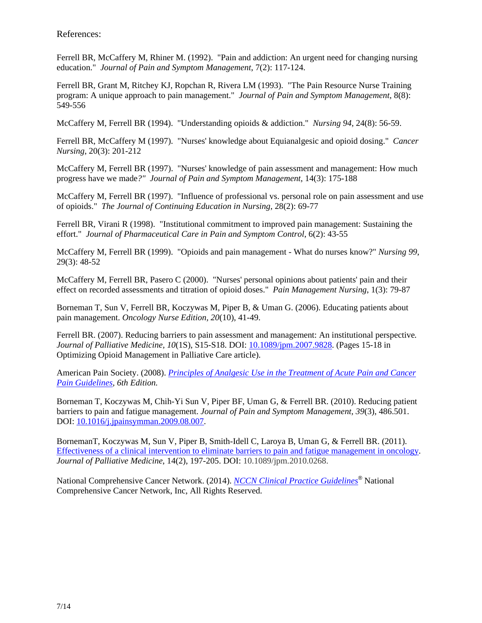References:

Ferrell BR, McCaffery M, Rhiner M. (1992). "Pain and addiction: An urgent need for changing nursing education." *Journal of Pain and Symptom Management*, 7(2): 117-124.

Ferrell BR, Grant M, Ritchey KJ, Ropchan R, Rivera LM (1993). "The Pain Resource Nurse Training program: A unique approach to pain management." *Journal of Pain and Symptom Management*, 8(8): 549-556

McCaffery M, Ferrell BR (1994). "Understanding opioids & addiction." *Nursing 94*, 24(8): 56-59.

Ferrell BR, McCaffery M (1997). "Nurses' knowledge about Equianalgesic and opioid dosing." *Cancer Nursing*, 20(3): 201-212

McCaffery M, Ferrell BR (1997). "Nurses' knowledge of pain assessment and management: How much progress have we made*?" Journal of Pain and Symptom Management*, 14(3): 175-188

McCaffery M, Ferrell BR (1997). "Influence of professional vs. personal role on pain assessment and use of opioids." *The Journal of Continuing Education in Nursing*, 28(2): 69-77

Ferrell BR, Virani R (1998). "Institutional commitment to improved pain management: Sustaining the effort." *Journal of Pharmaceutical Care in Pain and Symptom Control*, 6(2): 43-55

McCaffery M, Ferrell BR (1999). "Opioids and pain management - What do nurses know?" *Nursing 99*, 29(3): 48-52

McCaffery M, Ferrell BR, Pasero C (2000). "Nurses' personal opinions about patients' pain and their effect on recorded assessments and titration of opioid doses." *Pain Management Nursing*, 1(3): 79-87

Borneman T, Sun V, Ferrell BR, Koczywas M, Piper B, & Uman G. (2006). Educating patients about pain management. *Oncology Nurse Edition, 20*(10), 41-49.

Ferrell BR. (2007). Reducing barriers to pain assessment and management: An institutional perspective*. Journal of Palliative Medicine, 10*(1S), S15-S18. DOI: 10.1089/jpm.2007.9828. (Pages 15-18 in Optimizing Opioid Management in Palliative Care article).

American Pain Society. (2008). *Principles of Analgesic Use in the Treatment of Acute Pain and Cancer Pain Guidelines, 6th Edition.*

Borneman T, Koczywas M, Chih-Yi Sun V, Piper BF, Uman G, & Ferrell BR. (2010). Reducing patient barriers to pain and fatigue management. *Journal of Pain and Symptom Management, 39*(3), 486.501. DOI: 10.1016/j.jpainsymman.2009.08.007.

BornemanT, Koczywas M, Sun V, Piper B, Smith-Idell C, Laroya B, Uman G, & Ferrell BR. (2011). Effectiveness of a clinical intervention to eliminate barriers to pain and fatigue management in oncology. *Journal of Palliative Medicine*, 14(2), 197-205. DOI: 10.1089/jpm.2010.0268.

National Comprehensive Cancer Network. (2014). *NCCN Clinical Practice Guidelines®* National Comprehensive Cancer Network, Inc, All Rights Reserved.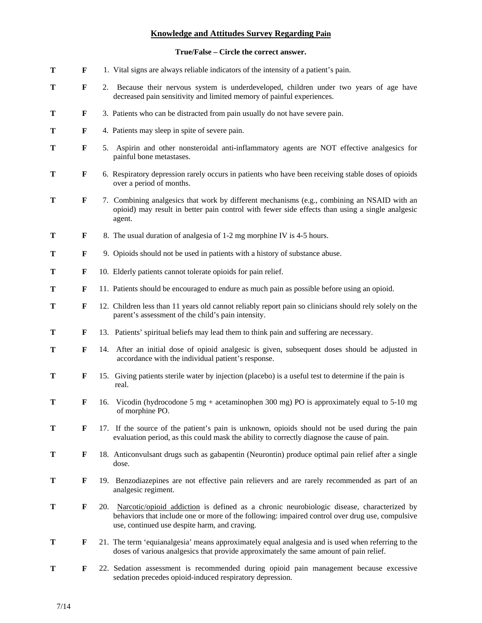# **Knowledge and Attitudes Survey Regarding Pain**

# **True/False – Circle the correct answer.**

| T | F           |     | 1. Vital signs are always reliable indicators of the intensity of a patient's pain.                                                                                                                                                               |
|---|-------------|-----|---------------------------------------------------------------------------------------------------------------------------------------------------------------------------------------------------------------------------------------------------|
| T | F           |     | 2. Because their nervous system is underdeveloped, children under two years of age have<br>decreased pain sensitivity and limited memory of painful experiences.                                                                                  |
| T | F           |     | 3. Patients who can be distracted from pain usually do not have severe pain.                                                                                                                                                                      |
| Т | $\mathbf F$ |     | 4. Patients may sleep in spite of severe pain.                                                                                                                                                                                                    |
| T | $\mathbf F$ |     | 5. Aspirin and other nonsteroidal anti-inflammatory agents are NOT effective analgesics for<br>painful bone metastases.                                                                                                                           |
| T | F           |     | 6. Respiratory depression rarely occurs in patients who have been receiving stable doses of opioids<br>over a period of months.                                                                                                                   |
| T | F           |     | 7. Combining analgesics that work by different mechanisms (e.g., combining an NSAID with an<br>opioid) may result in better pain control with fewer side effects than using a single analgesic<br>agent.                                          |
| T | F           |     | 8. The usual duration of analgesia of 1-2 mg morphine IV is 4-5 hours.                                                                                                                                                                            |
| T | $\mathbf F$ |     | 9. Opioids should not be used in patients with a history of substance abuse.                                                                                                                                                                      |
| T | F           |     | 10. Elderly patients cannot tolerate opioids for pain relief.                                                                                                                                                                                     |
| Т | F           |     | 11. Patients should be encouraged to endure as much pain as possible before using an opioid.                                                                                                                                                      |
| Т | F           |     | 12. Children less than 11 years old cannot reliably report pain so clinicians should rely solely on the<br>parent's assessment of the child's pain intensity.                                                                                     |
| T | F           |     | 13. Patients' spiritual beliefs may lead them to think pain and suffering are necessary.                                                                                                                                                          |
| Т | F           |     | 14. After an initial dose of opioid analgesic is given, subsequent doses should be adjusted in<br>accordance with the individual patient's response.                                                                                              |
| Т | F           |     | 15. Giving patients sterile water by injection (placebo) is a useful test to determine if the pain is<br>real.                                                                                                                                    |
| Т | F           | 16. | Vicodin (hydrocodone 5 mg + acetaminophen 300 mg) PO is approximately equal to $5\n-10$ mg<br>of morphine PO.                                                                                                                                     |
| T | F           |     | 17. If the source of the patient's pain is unknown, opioids should not be used during the pain<br>evaluation period, as this could mask the ability to correctly diagnose the cause of pain.                                                      |
| T | F           |     | 18. Anticonvulsant drugs such as gabapentin (Neurontin) produce optimal pain relief after a single<br>dose.                                                                                                                                       |
| Т | $\mathbf F$ |     | 19. Benzodiazepines are not effective pain relievers and are rarely recommended as part of an<br>analgesic regiment.                                                                                                                              |
| T | F           |     | 20. Narcotic/opioid addiction is defined as a chronic neurobiologic disease, characterized by<br>behaviors that include one or more of the following: impaired control over drug use, compulsive<br>use, continued use despite harm, and craving. |
| Т | F           |     | 21. The term 'equianalgesia' means approximately equal analgesia and is used when referring to the<br>doses of various analgesics that provide approximately the same amount of pain relief.                                                      |
| T | F           |     | 22. Sedation assessment is recommended during opioid pain management because excessive<br>sedation precedes opioid-induced respiratory depression.                                                                                                |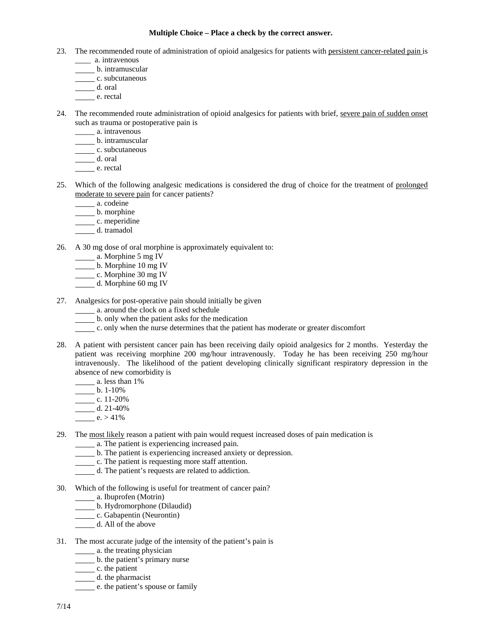#### **Multiple Choice – Place a check by the correct answer.**

- 23. The recommended route of administration of opioid analgesics for patients with persistent cancer-related pain is
	- \_\_\_\_ a. intravenous
	- b. intramuscular
	- c. subcutaneous
	- d. oral
	- $\overline{\phantom{a}}$  e. rectal
- 24. The recommended route administration of opioid analgesics for patients with brief, severe pain of sudden onset such as trauma or postoperative pain is
	- \_\_\_\_\_ a. intravenous
	- b. intramuscular
	- c. subcutaneous
	- d. oral
	- e. rectal
- 25. Which of the following analgesic medications is considered the drug of choice for the treatment of prolonged moderate to severe pain for cancer patients?
	- a. codeine
	- b. morphine
	- c. meperidine
	- d. tramadol
- 26. A 30 mg dose of oral morphine is approximately equivalent to:
	- a. Morphine 5 mg IV
	- b. Morphine 10 mg IV
	- c. Morphine 30 mg IV
	- d. Morphine 60 mg IV
- 27. Analgesics for post-operative pain should initially be given
	- a. around the clock on a fixed schedule
	- b. only when the patient asks for the medication
	- c. only when the nurse determines that the patient has moderate or greater discomfort
- 28. A patient with persistent cancer pain has been receiving daily opioid analgesics for 2 months. Yesterday the patient was receiving morphine 200 mg/hour intravenously. Today he has been receiving 250 mg/hour intravenously. The likelihood of the patient developing clinically significant respiratory depression in the absence of new comorbidity is
	- a. less than 1%
	- b.  $1-10\%$
	- c.  $11-20%$
	- d.  $21-40%$
	- $e. > 41\%$
- 29. The most likely reason a patient with pain would request increased doses of pain medication is
	- **12.12.** The patient is experiencing increased pain.
	- b. The patient is experiencing increased anxiety or depression.
	- c. The patient is requesting more staff attention.
	- d. The patient's requests are related to addiction.
- 30. Which of the following is useful for treatment of cancer pain?
	- a. Ibuprofen (Motrin)
	- b. Hydromorphone (Dilaudid)
	- c. Gabapentin (Neurontin)
	- d. All of the above
- 31. The most accurate judge of the intensity of the patient's pain is
	- a. the treating physician
	- b. the patient's primary nurse
	- $\frac{c}{c}$ . the patient
	- d. the pharmacist
	- e. the patient's spouse or family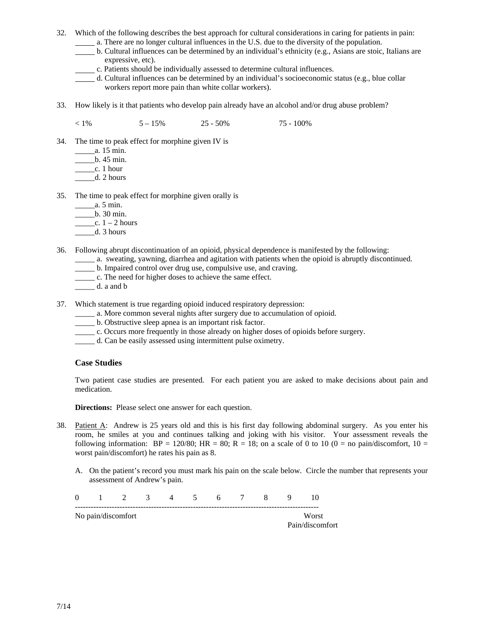- 32. Which of the following describes the best approach for cultural considerations in caring for patients in pain:
	- a. There are no longer cultural influences in the U.S. due to the diversity of the population.
	- b. Cultural influences can be determined by an individual's ethnicity (e.g., Asians are stoic, Italians are expressive, etc).
	- c. Patients should be individually assessed to determine cultural influences.
	- $d$ . Cultural influences can be determined by an individual's socioeconomic status (e.g., blue collar workers report more pain than white collar workers).
- 33. How likely is it that patients who develop pain already have an alcohol and/or drug abuse problem?

 $< 1\%$  5 – 15% 25 - 50% 75 - 100%

- 34. The time to peak effect for morphine given IV is
	- \_\_\_\_\_a. 15 min.
	- \_\_\_\_\_b. 45 min.
	- $\frac{c}{2}$ . 1 hour
	- $\qquad \qquad d. 2 hours$
- 35. The time to peak effect for morphine given orally is
	- \_\_\_\_\_a. 5 min.
	- \_\_\_\_\_b. 30 min.
	- $\frac{\cosh 1 2 \text{ hours}}{2}$
	- $\qquad \qquad d. 3 hours$
- 36. Following abrupt discontinuation of an opioid, physical dependence is manifested by the following:
	- \_\_\_\_\_ a. sweating, yawning, diarrhea and agitation with patients when the opioid is abruptly discontinued.
	- \_\_\_\_\_ b. Impaired control over drug use, compulsive use, and craving.
	- \_\_\_\_\_ c. The need for higher doses to achieve the same effect.
	- \_\_\_\_\_ d. a and b
- 37. Which statement is true regarding opioid induced respiratory depression:
	- \_\_\_\_\_ a. More common several nights after surgery due to accumulation of opioid.
	- \_\_\_\_\_ b. Obstructive sleep apnea is an important risk factor.
	- \_\_\_\_\_ c. Occurs more frequently in those already on higher doses of opioids before surgery.
	- \_\_\_\_\_ d. Can be easily assessed using intermittent pulse oximetry.

### **Case Studies**

Two patient case studies are presented. For each patient you are asked to make decisions about pain and medication.

**Directions:** Please select one answer for each question.

- 38. Patient A: Andrew is 25 years old and this is his first day following abdominal surgery. As you enter his room, he smiles at you and continues talking and joking with his visitor. Your assessment reveals the following information:  $BP = 120/80$ ;  $HR = 80$ ;  $R = 18$ ; on a scale of 0 to 10 (0 = no pain/discomfort, 10 = worst pain/discomfort) he rates his pain as 8.
	- A. On the patient's record you must mark his pain on the scale below. Circle the number that represents your assessment of Andrew's pain.

| $\Omega$ | 2                  | $\mathcal{R}$ | $\sim$ 4 | 6 <sup>6</sup> | $\mathbf{8}$ |                          |
|----------|--------------------|---------------|----------|----------------|--------------|--------------------------|
|          | No pain/discomfort |               |          |                |              | Worst<br>Pain/discomfort |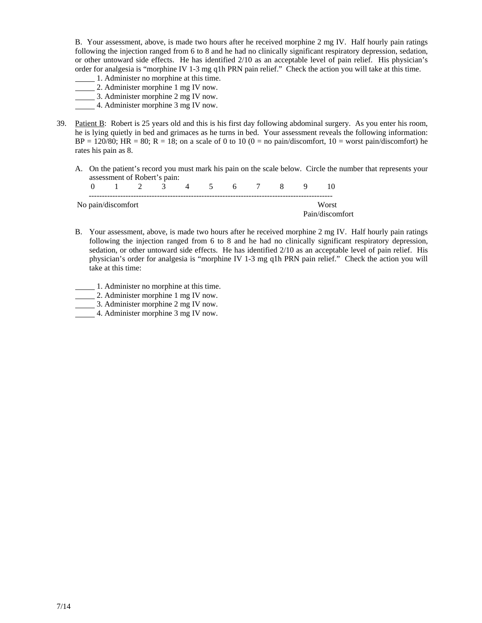B. Your assessment, above, is made two hours after he received morphine 2 mg IV. Half hourly pain ratings following the injection ranged from 6 to 8 and he had no clinically significant respiratory depression, sedation, or other untoward side effects. He has identified 2/10 as an acceptable level of pain relief. His physician's order for analgesia is "morphine IV 1-3 mg q1h PRN pain relief." Check the action you will take at this time.

- 1. Administer no morphine at this time.
- 2. Administer morphine 1 mg IV now.
- 3. Administer morphine 2 mg IV now.
- 4. Administer morphine 3 mg IV now.
- 39. Patient B: Robert is 25 years old and this is his first day following abdominal surgery. As you enter his room, he is lying quietly in bed and grimaces as he turns in bed. Your assessment reveals the following information:  $BP = 120/80$ ; HR = 80; R = 18; on a scale of 0 to 10 (0 = no pain/discomfort, 10 = worst pain/discomfort) he rates his pain as 8.
	- A. On the patient's record you must mark his pain on the scale below. Circle the number that represents your assessment of Robert's pain:

|                    | $2 \quad 3 \quad 4 \quad 5$ |  |  | 6 7 |  |                 |  |
|--------------------|-----------------------------|--|--|-----|--|-----------------|--|
| No pain/discomfort | Worst                       |  |  |     |  |                 |  |
|                    |                             |  |  |     |  | Pain/discomfort |  |

- B. Your assessment, above, is made two hours after he received morphine 2 mg IV. Half hourly pain ratings following the injection ranged from 6 to 8 and he had no clinically significant respiratory depression, sedation, or other untoward side effects. He has identified 2/10 as an acceptable level of pain relief. His physician's order for analgesia is "morphine IV 1-3 mg q1h PRN pain relief." Check the action you will take at this time:
- 1. Administer no morphine at this time.
- 2. Administer morphine 1 mg IV now.
- 3. Administer morphine 2 mg IV now.
- 4. Administer morphine 3 mg IV now.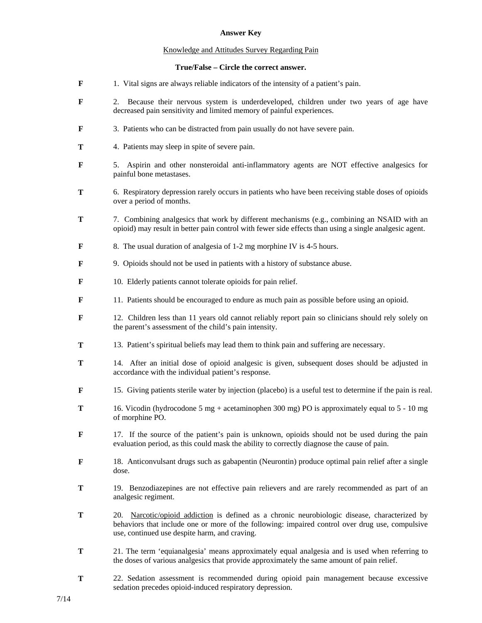## **Answer Key**

## Knowledge and Attitudes Survey Regarding Pain

## **True/False – Circle the correct answer.**

- **F** 1. Vital signs are always reliable indicators of the intensity of a patient's pain.
- **F** 2. Because their nervous system is underdeveloped, children under two years of age have decreased pain sensitivity and limited memory of painful experiences.
- **F** 3. Patients who can be distracted from pain usually do not have severe pain.
- **T** 4. Patients may sleep in spite of severe pain.
- **F** 5. Aspirin and other nonsteroidal anti-inflammatory agents are NOT effective analgesics for painful bone metastases.
- **T** 6. Respiratory depression rarely occurs in patients who have been receiving stable doses of opioids over a period of months.
- **T** 7. Combining analgesics that work by different mechanisms (e.g., combining an NSAID with an opioid) may result in better pain control with fewer side effects than using a single analgesic agent.
- **F** 8. The usual duration of analgesia of 1-2 mg morphine IV is 4-5 hours.
- **F** 9. Opioids should not be used in patients with a history of substance abuse.
- **F** 10. Elderly patients cannot tolerate opioids for pain relief.
- **F** 11. Patients should be encouraged to endure as much pain as possible before using an opioid.
- **F** 12. Children less than 11 years old cannot reliably report pain so clinicians should rely solely on the parent's assessment of the child's pain intensity.
- **T** 13. Patient's spiritual beliefs may lead them to think pain and suffering are necessary.
- **T** 14. After an initial dose of opioid analgesic is given, subsequent doses should be adjusted in accordance with the individual patient's response.
- **F** 15. Giving patients sterile water by injection (placebo) is a useful test to determine if the pain is real.
- **T** 16. Vicodin (hydrocodone 5 mg + acetaminophen 300 mg) PO is approximately equal to 5 10 mg of morphine PO.
- **F** 17. If the source of the patient's pain is unknown, opioids should not be used during the pain evaluation period, as this could mask the ability to correctly diagnose the cause of pain.
- **F** 18. Anticonvulsant drugs such as gabapentin (Neurontin) produce optimal pain relief after a single dose.
- **T** 19. Benzodiazepines are not effective pain relievers and are rarely recommended as part of an analgesic regiment.
- **T** 20. Narcotic/opioid addiction is defined as a chronic neurobiologic disease, characterized by behaviors that include one or more of the following: impaired control over drug use, compulsive use, continued use despite harm, and craving.
- **T** 21. The term 'equianalgesia' means approximately equal analgesia and is used when referring to the doses of various analgesics that provide approximately the same amount of pain relief.
- **T** 22. Sedation assessment is recommended during opioid pain management because excessive sedation precedes opioid-induced respiratory depression.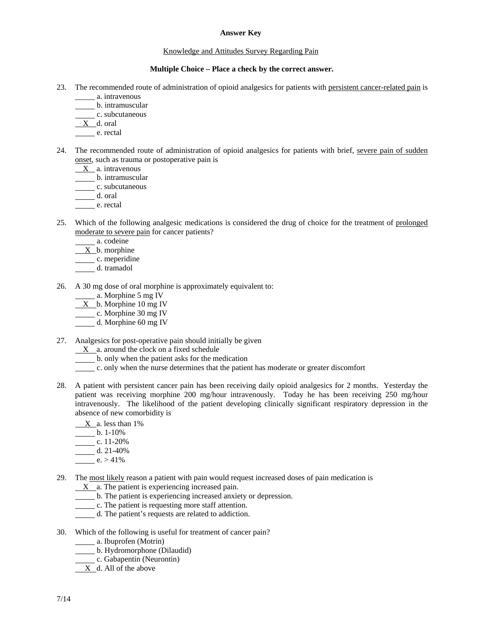#### **Answer Key**

#### Knowledge and Attitudes Survey Regarding Pain

#### **Multiple Choice – Place a check by the correct answer.**

- 23. The recommended route of administration of opioid analgesics for patients with persistent cancer-related pain is
	- \_\_\_\_\_ a. intravenous
		- b. intramuscular
	- c. subcutaneous
	- X d. oral
	- e. rectal
- 24. The recommended route of administration of opioid analgesics for patients with brief, severe pain of sudden onset, such as trauma or postoperative pain is
	- X a. intravenous
	- b. intramuscular
	- c. subcutaneous
	- d. oral
	- e. rectal
- 25. Which of the following analgesic medications is considered the drug of choice for the treatment of prolonged moderate to severe pain for cancer patients?
	- a. codeine
	- $X$  b. morphine
	- c. meperidine
	- d. tramadol
- 26. A 30 mg dose of oral morphine is approximately equivalent to:
	- a. Morphine 5 mg IV
	- $X_b$ . Morphine 10 mg IV
	- c. Morphine 30 mg IV
	- d. Morphine 60 mg IV
- 27. Analgesics for post-operative pain should initially be given
	- $X$  a. around the clock on a fixed schedule
	- b. only when the patient asks for the medication
	- c. only when the nurse determines that the patient has moderate or greater discomfort
- 28. A patient with persistent cancer pain has been receiving daily opioid analgesics for 2 months. Yesterday the patient was receiving morphine 200 mg/hour intravenously. Today he has been receiving 250 mg/hour intravenously. The likelihood of the patient developing clinically significant respiratory depression in the absence of new comorbidity is
	- $X_a$ . less than 1%
	- $b. 1-10%$
	- c.  $11-20%$
	- d. 21-40%
	- $e. > 41\%$
- 29. The most likely reason a patient with pain would request increased doses of pain medication is
	- $X$  a. The patient is experiencing increased pain.
	- b. The patient is experiencing increased anxiety or depression.
	- c. The patient is requesting more staff attention.
	- d. The patient's requests are related to addiction.
- 30. Which of the following is useful for treatment of cancer pain?
	- a. Ibuprofen (Motrin)
	- b. Hydromorphone (Dilaudid)
	- c. Gabapentin (Neurontin)
	- X d. All of the above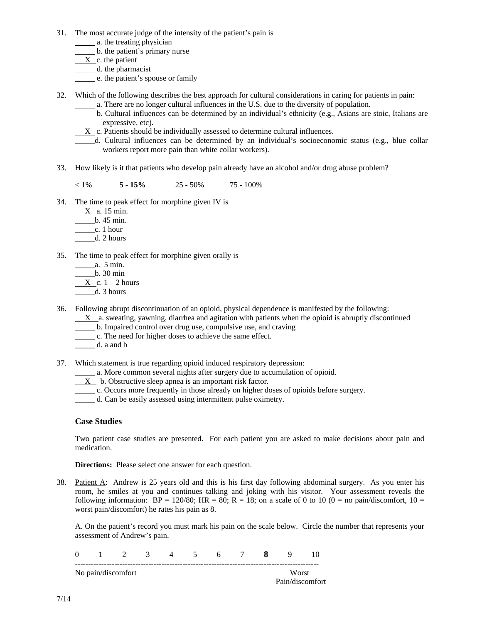- 31. The most accurate judge of the intensity of the patient's pain is
	- **a.** the treating physician
	- b. the patient's primary nurse
	- X c. the patient
	- d. the pharmacist
	- **EXECUTE:** e. the patient's spouse or family
- 32. Which of the following describes the best approach for cultural considerations in caring for patients in pain:
	- a. There are no longer cultural influences in the U.S. due to the diversity of population.
	- b. Cultural influences can be determined by an individual's ethnicity (e.g., Asians are stoic, Italians are expressive, etc).
	- $X_c$  c. Patients should be individually assessed to determine cultural influences.
	- \_\_\_\_\_d. Cultural influences can be determined by an individual's socioeconomic status (e.g., blue collar workers report more pain than white collar workers).
- 33. How likely is it that patients who develop pain already have an alcohol and/or drug abuse problem?

 $5 - 15\%$  25 - 50% 75 - 100%

- 34. The time to peak effect for morphine given IV is
	- $X$  a. 15 min.
	- \_\_\_\_\_b. 45 min.
	- $\_\_c. 1$  hour
	- \_\_\_\_\_d. 2 hours
- 35. The time to peak effect for morphine given orally is
	- \_\_\_\_\_a. 5 min.
		- $_b$ . 30 min
	- $X$  c. 1 2 hours
	- $-d.$  3 hours
- 36. Following abrupt discontinuation of an opioid, physical dependence is manifested by the following:
	- X a. sweating, yawning, diarrhea and agitation with patients when the opioid is abruptly discontinued
	- \_\_\_\_\_ b. Impaired control over drug use, compulsive use, and craving
	- \_\_\_\_\_ c. The need for higher doses to achieve the same effect.
	- \_\_\_\_\_ d. a and b
- 37. Which statement is true regarding opioid induced respiratory depression:
	- \_\_\_\_\_ a. More common several nights after surgery due to accumulation of opioid.
	- X b. Obstructive sleep apnea is an important risk factor.
	- \_\_\_\_\_ c. Occurs more frequently in those already on higher doses of opioids before surgery.
	- \_\_\_\_\_ d. Can be easily assessed using intermittent pulse oximetry.

### **Case Studies**

 Two patient case studies are presented. For each patient you are asked to make decisions about pain and medication.

**Directions:** Please select one answer for each question.

38. Patient A: Andrew is 25 years old and this is his first day following abdominal surgery. As you enter his room, he smiles at you and continues talking and joking with his visitor. Your assessment reveals the following information:  $BP = 120/80$ ;  $HR = 80$ ;  $R = 18$ ; on a scale of 0 to 10 (0 = no pain/discomfort, 10 = worst pain/discomfort) he rates his pain as 8.

A. On the patient's record you must mark his pain on the scale below. Circle the number that represents your assessment of Andrew's pain.

|  | No pain/discomfort |  |  |  |                 |  | Worst |  |
|--|--------------------|--|--|--|-----------------|--|-------|--|
|  |                    |  |  |  | Pain/discomfort |  |       |  |